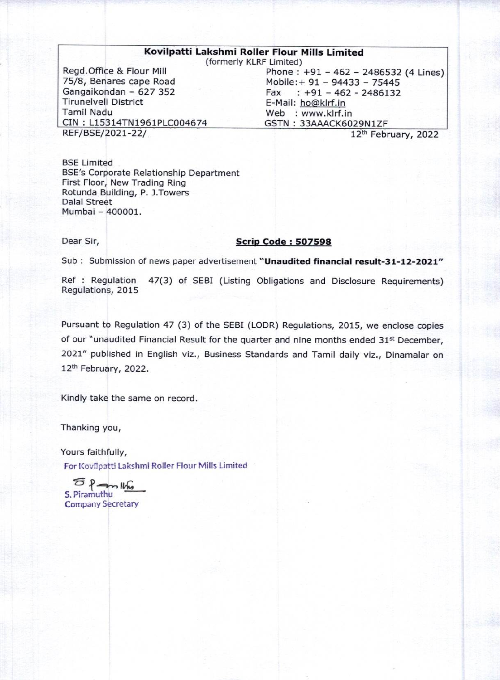#### Kovilpatti Lakshmi Roller Flour Mills Limited

(formerly KLRF Limited)

Regd.Office & Flour Mill 75/8, Benares cape Road Gangaikondan - 627 352 Tirunelveli District Tamil Nadu CIN: L15314TN1961PLC004674<br>REF/BSE/2021-22/

Phone:  $+91 - 462 - 2486532$  (4 Lines) Mobile:+ 91 - 94433 - 75445 Fax  $: +91 - 462 - 2486132$ E-Mail: hogklrf.in Web : www.klrf.in GSTN : 33AAACK6029N1ZF

12<sup>th</sup> February, 2022

BSE Limited BSE's Corporate Relationship Department First Floor, New Trading Ring Rotunda Building, P. J.Towers Dalal Street Mumbai - 400001.

### Dear Sir, Scrip Code : 507598

Sub: Submission of news paper advertisement "Unaudited financial result-31-12-2021"

Ref : Regulation 47(3) of SEBI (Listing Obligations and Disclosure Requirements) Regulations, 2015

Pursuant to Regulation 47 (3) of the SEBI (LODR) Regulations, 2015, we enclose copies of our "unaudited Financial Result for the quarter and nine months ended 31<sup>st</sup> December, 2021" published in English viz., Business Standards and Tamil daily viz., Dinamalar on 12th February, 2022.

Kindly take the same on record.

Thanking you,

Yours faithfully, For Kovilpatti Lakshmi Roller Flour Mills Limited

 $5.$  Piramuthu Company Secretary